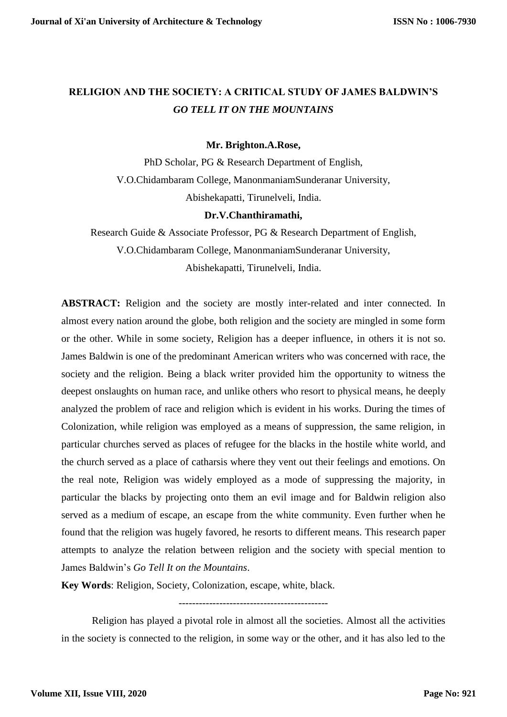## **RELIGION AND THE SOCIETY: A CRITICAL STUDY OF JAMES BALDWIN'S**  *GO TELL IT ON THE MOUNTAINS*

## **Mr. Brighton.A.Rose,**

PhD Scholar, PG & Research Department of English, V.O.Chidambaram College, ManonmaniamSunderanar University, Abishekapatti, Tirunelveli, India.

## **Dr.V.Chanthiramathi,**

Research Guide & Associate Professor, PG & Research Department of English, V.O.Chidambaram College, ManonmaniamSunderanar University, Abishekapatti, Tirunelveli, India.

**ABSTRACT:** Religion and the society are mostly inter-related and inter connected. In almost every nation around the globe, both religion and the society are mingled in some form or the other. While in some society, Religion has a deeper influence, in others it is not so. James Baldwin is one of the predominant American writers who was concerned with race, the society and the religion. Being a black writer provided him the opportunity to witness the deepest onslaughts on human race, and unlike others who resort to physical means, he deeply analyzed the problem of race and religion which is evident in his works. During the times of Colonization, while religion was employed as a means of suppression, the same religion, in particular churches served as places of refugee for the blacks in the hostile white world, and the church served as a place of catharsis where they vent out their feelings and emotions. On the real note, Religion was widely employed as a mode of suppressing the majority, in particular the blacks by projecting onto them an evil image and for Baldwin religion also served as a medium of escape, an escape from the white community. Even further when he found that the religion was hugely favored, he resorts to different means. This research paper attempts to analyze the relation between religion and the society with special mention to James Baldwin's *Go Tell It on the Mountains*.

**Key Words**: Religion, Society, Colonization, escape, white, black.

--------------------------------------------

Religion has played a pivotal role in almost all the societies. Almost all the activities in the society is connected to the religion, in some way or the other, and it has also led to the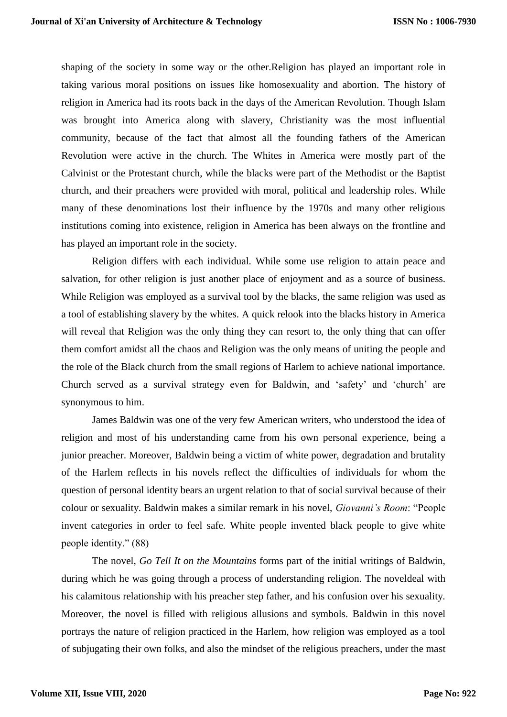shaping of the society in some way or the other.Religion has played an important role in taking various moral positions on issues like homosexuality and abortion. The history of religion in America had its roots back in the days of the American Revolution. Though Islam was brought into America along with slavery, Christianity was the most influential community, because of the fact that almost all the founding fathers of the American Revolution were active in the church. The Whites in America were mostly part of the Calvinist or the Protestant church, while the blacks were part of the Methodist or the Baptist church, and their preachers were provided with moral, political and leadership roles. While many of these denominations lost their influence by the 1970s and many other religious institutions coming into existence, religion in America has been always on the frontline and has played an important role in the society.

Religion differs with each individual. While some use religion to attain peace and salvation, for other religion is just another place of enjoyment and as a source of business. While Religion was employed as a survival tool by the blacks, the same religion was used as a tool of establishing slavery by the whites. A quick relook into the blacks history in America will reveal that Religion was the only thing they can resort to, the only thing that can offer them comfort amidst all the chaos and Religion was the only means of uniting the people and the role of the Black church from the small regions of Harlem to achieve national importance. Church served as a survival strategy even for Baldwin, and 'safety' and 'church' are synonymous to him.

James Baldwin was one of the very few American writers, who understood the idea of religion and most of his understanding came from his own personal experience, being a junior preacher. Moreover, Baldwin being a victim of white power, degradation and brutality of the Harlem reflects in his novels reflect the difficulties of individuals for whom the question of personal identity bears an urgent relation to that of social survival because of their colour or sexuality. Baldwin makes a similar remark in his novel, *Giovanni's Room*: "People invent categories in order to feel safe. White people invented black people to give white people identity." (88)

The novel, *Go Tell It on the Mountains* forms part of the initial writings of Baldwin, during which he was going through a process of understanding religion. The noveldeal with his calamitous relationship with his preacher step father, and his confusion over his sexuality. Moreover, the novel is filled with religious allusions and symbols. Baldwin in this novel portrays the nature of religion practiced in the Harlem, how religion was employed as a tool of subjugating their own folks, and also the mindset of the religious preachers, under the mast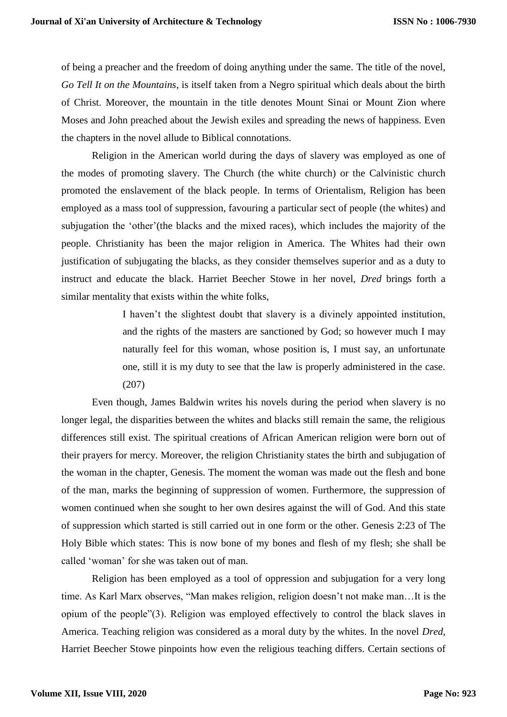of being a preacher and the freedom of doing anything under the same. The title of the novel, *Go Tell It on the Mountains*, is itself taken from a Negro spiritual which deals about the birth of Christ. Moreover, the mountain in the title denotes Mount Sinai or Mount Zion where Moses and John preached about the Jewish exiles and spreading the news of happiness. Even the chapters in the novel allude to Biblical connotations.

Religion in the American world during the days of slavery was employed as one of the modes of promoting slavery. The Church (the white church) or the Calvinistic church promoted the enslavement of the black people. In terms of Orientalism, Religion has been employed as a mass tool of suppression, favouring a particular sect of people (the whites) and subjugation the 'other'(the blacks and the mixed races), which includes the majority of the people. Christianity has been the major religion in America. The Whites had their own justification of subjugating the blacks, as they consider themselves superior and as a duty to instruct and educate the black. Harriet Beecher Stowe in her novel, *Dred* brings forth a similar mentality that exists within the white folks,

> I haven't the slightest doubt that slavery is a divinely appointed institution, and the rights of the masters are sanctioned by God; so however much I may naturally feel for this woman, whose position is, I must say, an unfortunate one, still it is my duty to see that the law is properly administered in the case. (207)

Even though, James Baldwin writes his novels during the period when slavery is no longer legal, the disparities between the whites and blacks still remain the same, the religious differences still exist. The spiritual creations of African American religion were born out of their prayers for mercy. Moreover, the religion Christianity states the birth and subjugation of the woman in the chapter, Genesis. The moment the woman was made out the flesh and bone of the man, marks the beginning of suppression of women. Furthermore, the suppression of women continued when she sought to her own desires against the will of God. And this state of suppression which started is still carried out in one form or the other. Genesis 2:23 of The Holy Bible which states: This is now bone of my bones and flesh of my flesh; she shall be called 'woman' for she was taken out of man.

Religion has been employed as a tool of oppression and subjugation for a very long time. As Karl Marx observes, "Man makes religion, religion doesn't not make man…It is the opium of the people"(3). Religion was employed effectively to control the black slaves in America. Teaching religion was considered as a moral duty by the whites. In the novel *Dred*, Harriet Beecher Stowe pinpoints how even the religious teaching differs. Certain sections of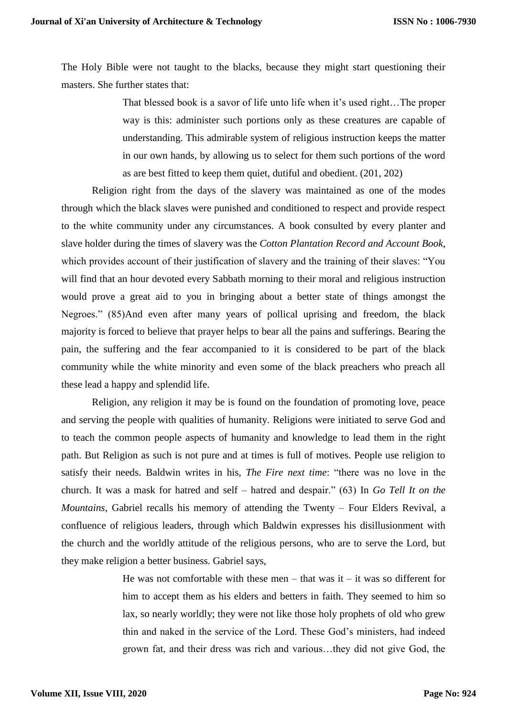The Holy Bible were not taught to the blacks, because they might start questioning their masters. She further states that:

> That blessed book is a savor of life unto life when it's used right…The proper way is this: administer such portions only as these creatures are capable of understanding. This admirable system of religious instruction keeps the matter in our own hands, by allowing us to select for them such portions of the word as are best fitted to keep them quiet, dutiful and obedient. (201, 202)

Religion right from the days of the slavery was maintained as one of the modes through which the black slaves were punished and conditioned to respect and provide respect to the white community under any circumstances. A book consulted by every planter and slave holder during the times of slavery was the *Cotton Plantation Record and Account Book*, which provides account of their justification of slavery and the training of their slaves: "You will find that an hour devoted every Sabbath morning to their moral and religious instruction would prove a great aid to you in bringing about a better state of things amongst the Negroes." (85)And even after many years of pollical uprising and freedom, the black majority is forced to believe that prayer helps to bear all the pains and sufferings. Bearing the pain, the suffering and the fear accompanied to it is considered to be part of the black community while the white minority and even some of the black preachers who preach all these lead a happy and splendid life.

Religion, any religion it may be is found on the foundation of promoting love, peace and serving the people with qualities of humanity. Religions were initiated to serve God and to teach the common people aspects of humanity and knowledge to lead them in the right path. But Religion as such is not pure and at times is full of motives. People use religion to satisfy their needs. Baldwin writes in his, *The Fire next time*: "there was no love in the church. It was a mask for hatred and self – hatred and despair." (63) In *Go Tell It on the Mountains*, Gabriel recalls his memory of attending the Twenty – Four Elders Revival, a confluence of religious leaders, through which Baldwin expresses his disillusionment with the church and the worldly attitude of the religious persons, who are to serve the Lord, but they make religion a better business. Gabriel says,

> He was not comfortable with these men – that was it – it was so different for him to accept them as his elders and betters in faith. They seemed to him so lax, so nearly worldly; they were not like those holy prophets of old who grew thin and naked in the service of the Lord. These God's ministers, had indeed grown fat, and their dress was rich and various…they did not give God, the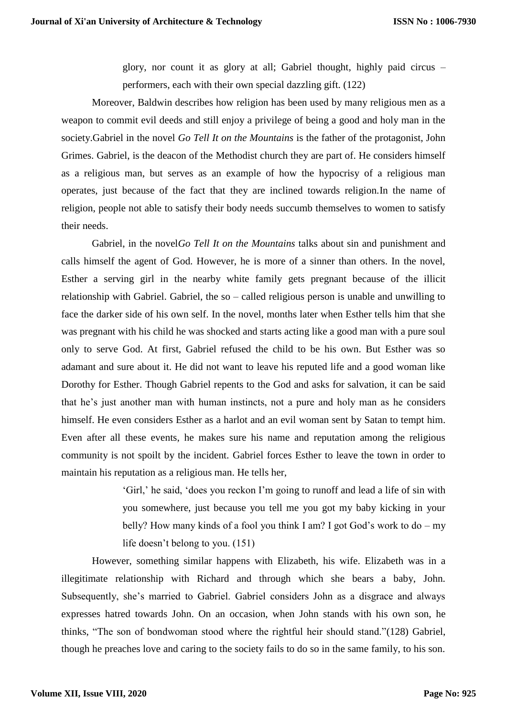glory, nor count it as glory at all; Gabriel thought, highly paid circus – performers, each with their own special dazzling gift. (122)

Moreover, Baldwin describes how religion has been used by many religious men as a weapon to commit evil deeds and still enjoy a privilege of being a good and holy man in the society.Gabriel in the novel *Go Tell It on the Mountains* is the father of the protagonist, John Grimes. Gabriel, is the deacon of the Methodist church they are part of. He considers himself as a religious man, but serves as an example of how the hypocrisy of a religious man operates, just because of the fact that they are inclined towards religion.In the name of religion, people not able to satisfy their body needs succumb themselves to women to satisfy their needs.

Gabriel, in the novel*Go Tell It on the Mountains* talks about sin and punishment and calls himself the agent of God. However, he is more of a sinner than others. In the novel, Esther a serving girl in the nearby white family gets pregnant because of the illicit relationship with Gabriel. Gabriel, the so – called religious person is unable and unwilling to face the darker side of his own self. In the novel, months later when Esther tells him that she was pregnant with his child he was shocked and starts acting like a good man with a pure soul only to serve God. At first, Gabriel refused the child to be his own. But Esther was so adamant and sure about it. He did not want to leave his reputed life and a good woman like Dorothy for Esther. Though Gabriel repents to the God and asks for salvation, it can be said that he's just another man with human instincts, not a pure and holy man as he considers himself. He even considers Esther as a harlot and an evil woman sent by Satan to tempt him. Even after all these events, he makes sure his name and reputation among the religious community is not spoilt by the incident. Gabriel forces Esther to leave the town in order to maintain his reputation as a religious man. He tells her,

> 'Girl,' he said, 'does you reckon I'm going to runoff and lead a life of sin with you somewhere, just because you tell me you got my baby kicking in your belly? How many kinds of a fool you think I am? I got God's work to do – my life doesn't belong to you. (151)

However, something similar happens with Elizabeth, his wife. Elizabeth was in a illegitimate relationship with Richard and through which she bears a baby, John. Subsequently, she's married to Gabriel. Gabriel considers John as a disgrace and always expresses hatred towards John. On an occasion, when John stands with his own son, he thinks, "The son of bondwoman stood where the rightful heir should stand."(128) Gabriel, though he preaches love and caring to the society fails to do so in the same family, to his son.